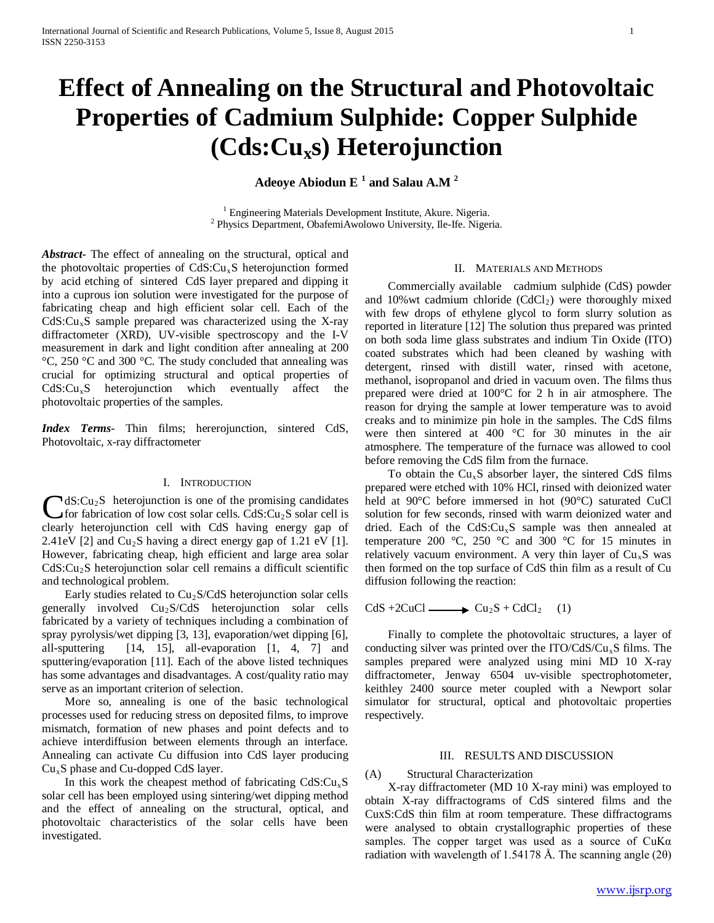# **Effect of Annealing on the Structural and Photovoltaic Properties of Cadmium Sulphide: Copper Sulphide (Cds:Cuxs) Heterojunction**

**Adeoye Abiodun E <sup>1</sup> and Salau A.M <sup>2</sup>**

<sup>1</sup> Engineering Materials Development Institute, Akure. Nigeria. <sup>2</sup> Physics Department, ObafemiAwolowo University, Ile-Ife. Nigeria.

*Abstract***-** The effect of annealing on the structural, optical and the photovoltaic properties of  $CdS:Cu<sub>x</sub>S$  heterojunction formed by acid etching of sintered CdS layer prepared and dipping it into a cuprous ion solution were investigated for the purpose of fabricating cheap and high efficient solar cell. Each of the  $CdS: Cu<sub>x</sub>S$  sample prepared was characterized using the X-ray diffractometer (XRD), UV-visible spectroscopy and the I-V measurement in dark and light condition after annealing at 200 °C, 250 °C and 300 °C. The study concluded that annealing was crucial for optimizing structural and optical properties of  $CdS: Cu<sub>x</sub>S$  heterojunction which eventually affect the photovoltaic properties of the samples.

*Index Terms*- Thin films; hererojunction, sintered CdS, Photovoltaic, x-ray diffractometer

## I. INTRODUCTION

 $\mathbb{R}dS: Cu_2S$  heterojunction is one of the promising candidates for fabrication of low cost solar cells.  $CdS:Cu<sub>2</sub>S$  solar cell is  $\bigcup$ dS:Cu<sub>2</sub>S heterojunction is one of the promising candidates<br>for fabrication of low cost solar cells. CdS:Cu<sub>2</sub>S solar cell is<br>clearly heterojunction cell with CdS having energy gap of 2.41eV [2] and  $Cu<sub>2</sub>S$  having a direct energy gap of 1.21 eV [1]. However, fabricating cheap, high efficient and large area solar CdS:Cu2S heterojunction solar cell remains a difficult scientific and technological problem.

Early studies related to  $Cu<sub>2</sub>S/CdS$  heterojunction solar cells generally involved Cu2S/CdS heterojunction solar cells fabricated by a variety of techniques including a combination of spray pyrolysis/wet dipping [3, 13], evaporation/wet dipping [6], all-sputtering [14, 15], all-evaporation [1, 4, 7] and sputtering/evaporation [11]. Each of the above listed techniques has some advantages and disadvantages. A cost/quality ratio may serve as an important criterion of selection.

 More so, annealing is one of the basic technological processes used for reducing stress on deposited films, to improve mismatch, formation of new phases and point defects and to achieve interdiffusion between elements through an interface. Annealing can activate Cu diffusion into CdS layer producing  $Cu<sub>x</sub>S$  phase and Cu-dopped CdS layer.

In this work the cheapest method of fabricating  $CdS: Cu<sub>x</sub>S$ solar cell has been employed using sintering/wet dipping method and the effect of annealing on the structural, optical, and photovoltaic characteristics of the solar cells have been investigated.

## II. MATERIALS AND METHODS

 Commercially available cadmium sulphide (CdS) powder and 10% wt cadmium chloride  $(CdCl<sub>2</sub>)$  were thoroughly mixed with few drops of ethylene glycol to form slurry solution as reported in literature [12] The solution thus prepared was printed on both soda lime glass substrates and indium Tin Oxide (ITO) coated substrates which had been cleaned by washing with detergent, rinsed with distill water, rinsed with acetone, methanol, isopropanol and dried in vacuum oven. The films thus prepared were dried at 100°C for 2 h in air atmosphere. The reason for drying the sample at lower temperature was to avoid creaks and to minimize pin hole in the samples. The CdS films were then sintered at 400 °C for 30 minutes in the air atmosphere. The temperature of the furnace was allowed to cool before removing the CdS film from the furnace.

To obtain the  $Cu<sub>x</sub>S$  absorber layer, the sintered CdS films prepared were etched with 10% HCl, rinsed with deionized water held at 90°C before immersed in hot (90°C) saturated CuCl solution for few seconds, rinsed with warm deionized water and dried. Each of the  $CdS: Cu<sub>x</sub>S$  sample was then annealed at temperature 200  $\degree$ C, 250  $\degree$ C and 300  $\degree$ C for 15 minutes in relatively vacuum environment. A very thin layer of  $Cu<sub>x</sub>S$  was then formed on the top surface of CdS thin film as a result of Cu diffusion following the reaction:

 $CdS + 2CuCl \longrightarrow Cu_2S + CdCl_2$  (1)

 Finally to complete the photovoltaic structures, a layer of conducting silver was printed over the  $ITO/CdS/Cu<sub>x</sub>S$  films. The samples prepared were analyzed using mini MD 10 X-ray diffractometer, Jenway 6504 uv-visible spectrophotometer, keithley 2400 source meter coupled with a Newport solar simulator for structural, optical and photovoltaic properties respectively.

## III. RESULTS AND DISCUSSION

(A) Structural Characterization

 X-ray diffractometer (MD 10 X-ray mini) was employed to obtain X-ray diffractograms of CdS sintered films and the CuxS:CdS thin film at room temperature. These diffractograms were analysed to obtain crystallographic properties of these samples. The copper target was used as a source of  $CuKa$ radiation with wavelength of 1.54178 Å. The scanning angle  $(2\theta)$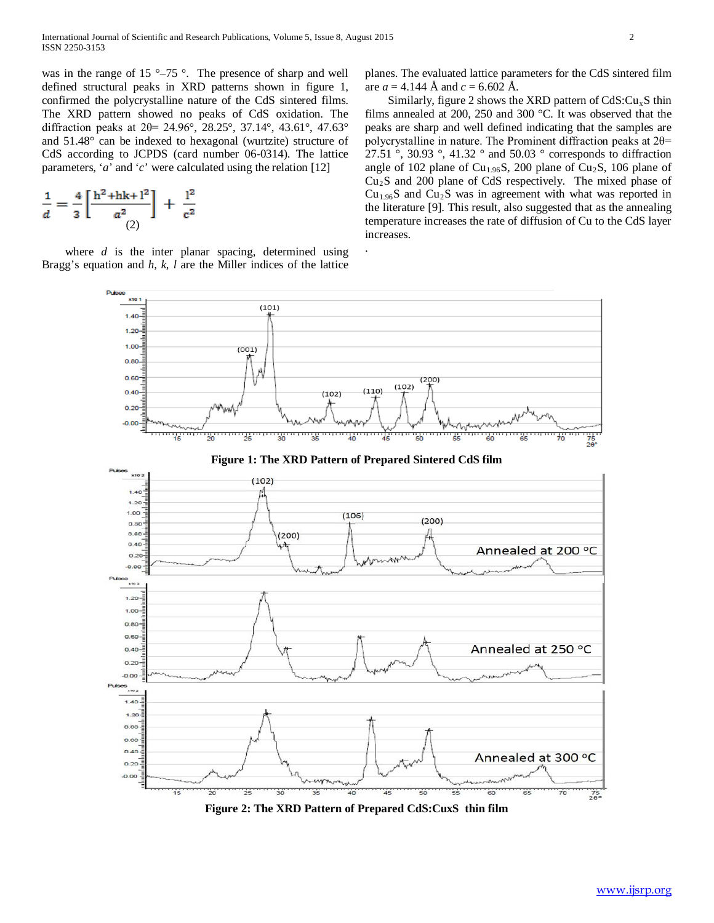was in the range of 15 °–75 °. The presence of sharp and well defined structural peaks in XRD patterns shown in figure 1, confirmed the polycrystalline nature of the CdS sintered films. The XRD pattern showed no peaks of CdS oxidation. The diffraction peaks at 2θ= 24.96°, 28.25°, 37.14°, 43.61°, 47.63° and 51.48° can be indexed to hexagonal (wurtzite) structure of CdS according to JCPDS (card number 06-0314). The lattice parameters, '*a*' and '*c*' were calculated using the relation [12]

$$
\frac{1}{d} = \frac{4}{3} \left[ \frac{h^2 + hk + l^2}{a^2} \right] + \frac{l^2}{c^2}
$$

where *d* is the inter planar spacing, determined using Bragg's equation and *h, k, l* are the Miller indices of the lattice planes. The evaluated lattice parameters for the CdS sintered film are  $a = 4.144$  Å and  $c = 6.602$  Å.

Similarly, figure 2 shows the XRD pattern of  $CdS:Cu<sub>x</sub>S$  thin films annealed at 200, 250 and 300 °C. It was observed that the peaks are sharp and well defined indicating that the samples are polycrystalline in nature. The Prominent diffraction peaks at 2θ= 27.51 °, 30.93 °, 41.32 ° and 50.03 ° corresponds to diffraction angle of 102 plane of  $Cu<sub>1.96</sub>S$ , 200 plane of  $Cu<sub>2</sub>S$ , 106 plane of  $Cu<sub>2</sub>S$  and 200 plane of CdS respectively. The mixed phase of  $Cu<sub>1.96</sub>S$  and  $Cu<sub>2</sub>S$  was in agreement with what was reported in the literature [9]. This result, also suggested that as the annealing temperature increases the rate of diffusion of Cu to the CdS layer increases.



.

**Figure 2: The XRD Pattern of Prepared CdS:CuxS thin film**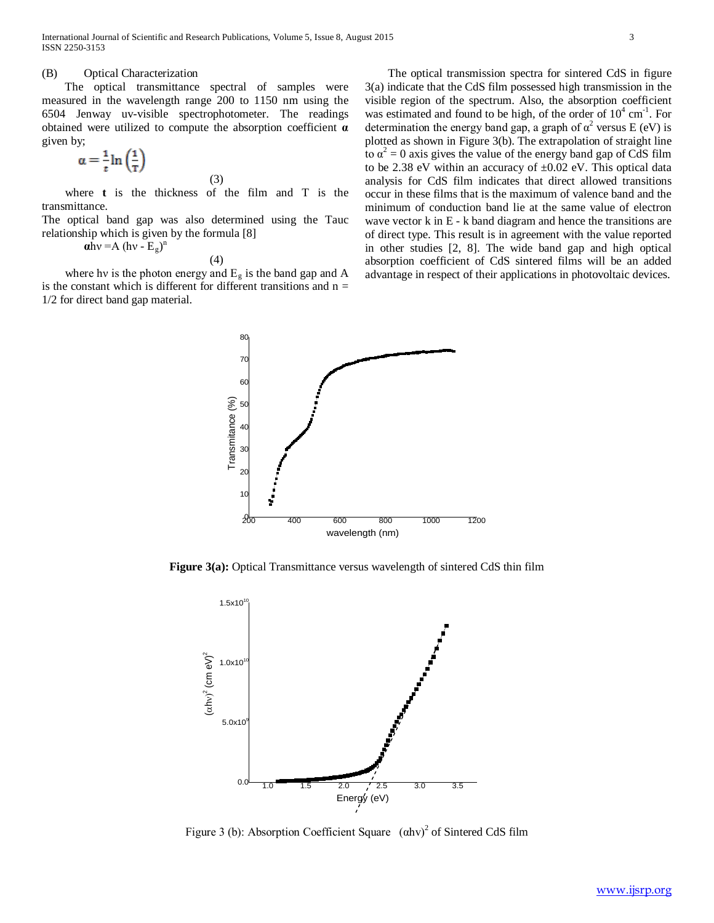## (B) Optical Characterization

 The optical transmittance spectral of samples were measured in the wavelength range 200 to 1150 nm using the 6504 Jenway uv-visible spectrophotometer. The readings obtained were utilized to compute the absorption coefficient **α** given by;

$$
\alpha = \frac{1}{t} \ln \left( \frac{1}{T} \right) \tag{3}
$$

 where **t** is the thickness of the film and T is the transmittance.

The optical band gap was also determined using the Tauc relationship which is given by the formula [8]  $\mathbf{a}$ hv =A (hv -  $\mathbf{E}_g$ )<sup>n</sup>

(4)

where hv is the photon energy and  $E<sub>g</sub>$  is the band gap and A is the constant which is different for different transitions and  $n =$ 1/2 for direct band gap material.

 The optical transmission spectra for sintered CdS in figure 3(a) indicate that the CdS film possessed high transmission in the visible region of the spectrum. Also, the absorption coefficient was estimated and found to be high, of the order of  $10^4$  cm<sup>-1</sup>. For determination the energy band gap, a graph of  $\alpha^2$  versus E (eV) is plotted as shown in Figure 3(b). The extrapolation of straight line to  $\alpha^2 = 0$  axis gives the value of the energy band gap of CdS film to be 2.38 eV within an accuracy of  $\pm 0.02$  eV. This optical data analysis for CdS film indicates that direct allowed transitions occur in these films that is the maximum of valence band and the minimum of conduction band lie at the same value of electron wave vector k in E - k band diagram and hence the transitions are of direct type. This result is in agreement with the value reported in other studies [2, 8]. The wide band gap and high optical absorption coefficient of CdS sintered films will be an added advantage in respect of their applications in photovoltaic devices.



**Figure 3(a):** Optical Transmittance versus wavelength of sintered CdS thin film



Figure 3 (b): Absorption Coefficient Square  $(\alpha h v)^2$  of Sintered CdS film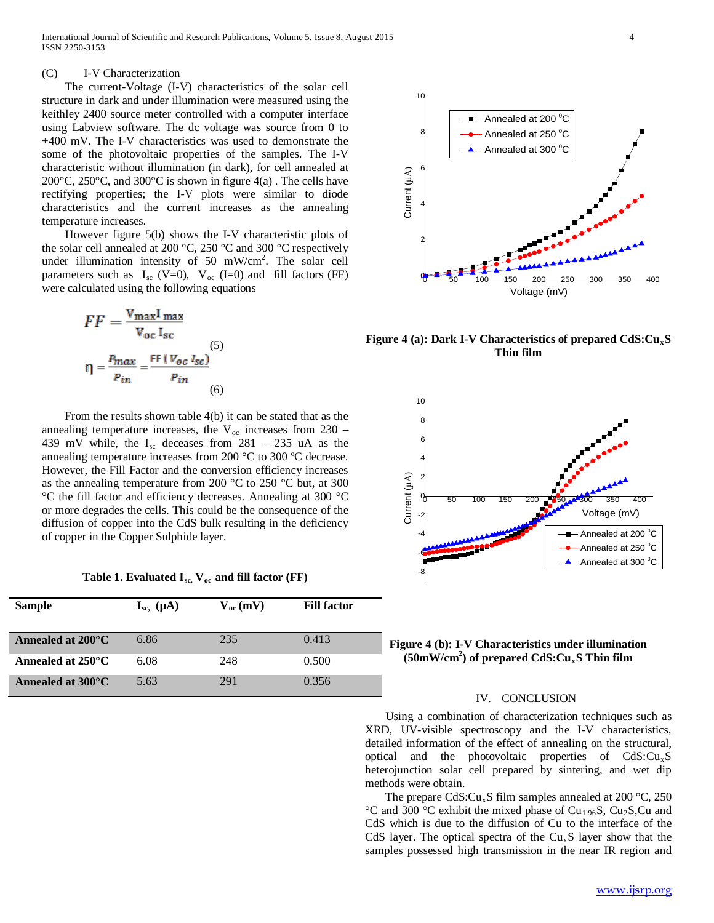# (C) I-V Characterization

 The current-Voltage (I-V) characteristics of the solar cell structure in dark and under illumination were measured using the keithley 2400 source meter controlled with a computer interface using Labview software. The dc voltage was source from 0 to +400 mV. The I-V characteristics was used to demonstrate the some of the photovoltaic properties of the samples. The I-V characteristic without illumination (in dark), for cell annealed at 200 $^{\circ}$ C, 250 $^{\circ}$ C, and 300 $^{\circ}$ C is shown in figure 4(a). The cells have rectifying properties; the I-V plots were similar to diode characteristics and the current increases as the annealing temperature increases.

 However figure 5(b) shows the I-V characteristic plots of the solar cell annealed at 200 °C, 250 °C and 300 °C respectively under illumination intensity of 50 mW/cm<sup>2</sup>. The solar cell parameters such as  $I_{\text{sc}}$  (V=0),  $V_{\text{oc}}$  (I=0) and fill factors (FF) were calculated using the following equations

$$
FF = \frac{V_{\text{max}}I_{\text{max}}}{V_{\text{oc}}I_{\text{sc}}}
$$

$$
\eta = \frac{P_{\text{max}}}{P_{\text{in}}} = \frac{FF(V_{\text{oc}}I_{\text{sc}})}{P_{\text{in}}}
$$
(5)

 From the results shown table 4(b) it can be stated that as the annealing temperature increases, the  $V_{\text{oc}}$  increases from 230 – 439 mV while, the  $I_{sc}$  deceases from 281 – 235 uA as the annealing temperature increases from 200 °C to 300 ºC decrease. However, the Fill Factor and the conversion efficiency increases as the annealing temperature from 200 °C to 250 °C but, at 300 °C the fill factor and efficiency decreases. Annealing at 300 °C or more degrades the cells. This could be the consequence of the diffusion of copper into the CdS bulk resulting in the deficiency of copper in the Copper Sulphide layer.

Table 1. Evaluated  $I_{\text{sc}}$ ,  $V_{\text{oc}}$  and fill factor (FF)

| <b>Sample</b>               | $I_{sc.}(\mu A)$ | $V_{oc}$ (mV) | <b>Fill factor</b> |
|-----------------------------|------------------|---------------|--------------------|
| Annealed at $200^{\circ}$ C | 6.86             | 235           | 0.413              |
| Annealed at $250^{\circ}$ C | 6.08             | 248           | 0.500              |
| Annealed at $300^{\circ}$ C | 5.63             | 291           | 0.356              |



Figure 4 (a): Dark I-V Characteristics of prepared CdS:Cu<sub>x</sub>S **Thin film**



**Figure 4 (b): I-V Characteristics under illumination (50mW/cm2 ) of prepared CdS:CuxS Thin film**

# IV. CONCLUSION

 Using a combination of characterization techniques such as XRD, UV-visible spectroscopy and the I-V characteristics, detailed information of the effect of annealing on the structural, optical and the photovoltaic properties of  $CdS: Cu<sub>x</sub>S$ heterojunction solar cell prepared by sintering, and wet dip methods were obtain.

The prepare CdS: $Cu<sub>x</sub>S$  film samples annealed at 200 °C, 250 °C and 300 °C exhibit the mixed phase of Cu<sub>1.96</sub>S, Cu<sub>2</sub>S,Cu and CdS which is due to the diffusion of Cu to the interface of the CdS layer. The optical spectra of the  $Cu<sub>x</sub>S$  layer show that the samples possessed high transmission in the near IR region and